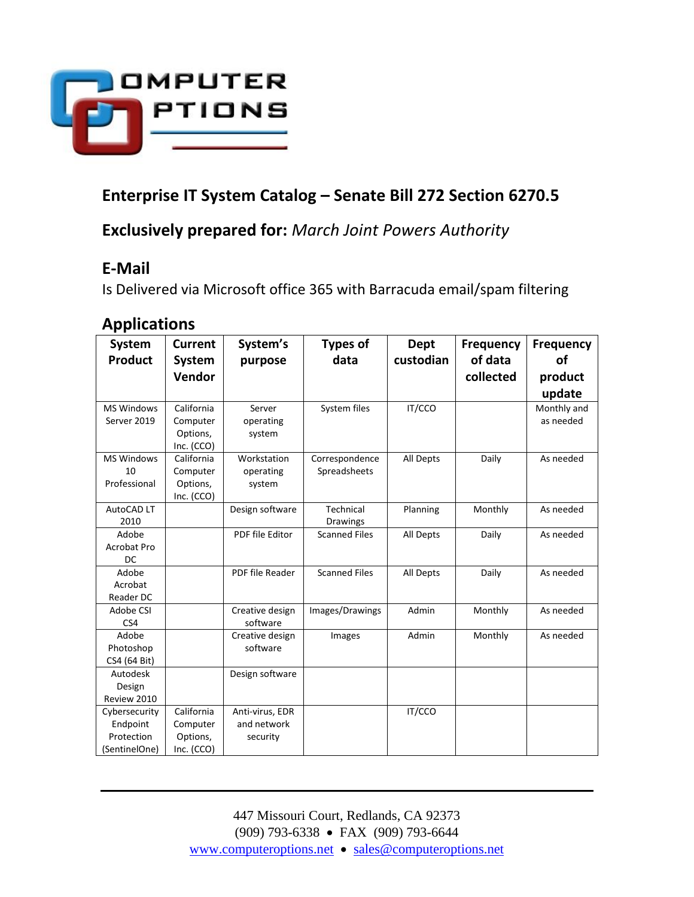

# **Enterprise IT System Catalog – Senate Bill 272 Section 6270.5**

**Exclusively prepared for:** *March Joint Powers Authority*

## **E-Mail**

Is Delivered via Microsoft office 365 with Barracuda email/spam filtering

## **Applications**

| <b>System</b>      | <b>Current</b> | System's        | <b>Types of</b>      | <b>Dept</b> | Frequency | <b>Frequency</b> |
|--------------------|----------------|-----------------|----------------------|-------------|-----------|------------------|
| <b>Product</b>     | <b>System</b>  | purpose         | data                 | custodian   | of data   | оf               |
|                    | Vendor         |                 |                      |             | collected | product          |
|                    |                |                 |                      |             |           | update           |
| <b>MS Windows</b>  | California     | Server          | System files         | IT/CCO      |           | Monthly and      |
| Server 2019        | Computer       | operating       |                      |             |           | as needed        |
|                    | Options,       | system          |                      |             |           |                  |
|                    | Inc. (CCO)     |                 |                      |             |           |                  |
| <b>MS Windows</b>  | California     | Workstation     | Correspondence       | All Depts   | Daily     | As needed        |
| 10                 | Computer       | operating       | Spreadsheets         |             |           |                  |
| Professional       | Options,       | system          |                      |             |           |                  |
|                    | Inc. (CCO)     |                 |                      |             |           |                  |
| AutoCAD LT         |                | Design software | Technical            | Planning    | Monthly   | As needed        |
| 2010               |                |                 | <b>Drawings</b>      |             |           |                  |
| Adobe              |                | PDF file Editor | <b>Scanned Files</b> | All Depts   | Daily     | As needed        |
| <b>Acrobat Pro</b> |                |                 |                      |             |           |                  |
| DC                 |                |                 |                      |             |           |                  |
| Adobe              |                | PDF file Reader | <b>Scanned Files</b> | All Depts   | Daily     | As needed        |
| Acrobat            |                |                 |                      |             |           |                  |
| Reader DC          |                |                 |                      |             |           |                  |
| Adobe CSI          |                | Creative design | Images/Drawings      | Admin       | Monthly   | As needed        |
| CS4                |                | software        |                      |             |           |                  |
| Adobe              |                | Creative design | Images               | Admin       | Monthly   | As needed        |
| Photoshop          |                | software        |                      |             |           |                  |
| CS4 (64 Bit)       |                |                 |                      |             |           |                  |
| Autodesk           |                | Design software |                      |             |           |                  |
| Design             |                |                 |                      |             |           |                  |
| Review 2010        |                |                 |                      |             |           |                  |
| Cybersecurity      | California     | Anti-virus, EDR |                      | IT/CCO      |           |                  |
| Endpoint           | Computer       | and network     |                      |             |           |                  |
| Protection         | Options,       | security        |                      |             |           |                  |
| (SentinelOne)      | Inc. (CCO)     |                 |                      |             |           |                  |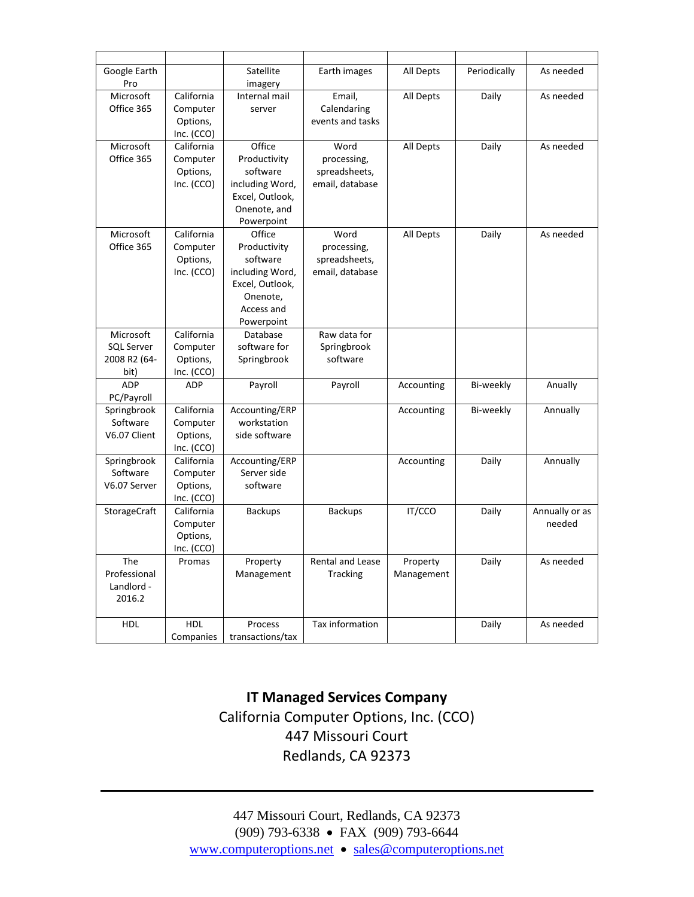| Google Earth      |              | Satellite        | Earth images            | All Depts  | Periodically | As needed      |
|-------------------|--------------|------------------|-------------------------|------------|--------------|----------------|
| Pro               |              | imagery          |                         |            |              |                |
| Microsoft         | California   | Internal mail    | Email,                  | All Depts  | Daily        | As needed      |
| Office 365        | Computer     | server           | Calendaring             |            |              |                |
|                   | Options,     |                  | events and tasks        |            |              |                |
|                   | Inc. (CCO)   |                  |                         |            |              |                |
| Microsoft         | California   | Office           | Word                    | All Depts  | Daily        | As needed      |
| Office 365        | Computer     | Productivity     | processing,             |            |              |                |
|                   | Options,     | software         | spreadsheets,           |            |              |                |
|                   | Inc. (CCO)   | including Word,  | email, database         |            |              |                |
|                   |              | Excel, Outlook,  |                         |            |              |                |
|                   |              | Onenote, and     |                         |            |              |                |
|                   |              | Powerpoint       |                         |            |              |                |
| Microsoft         | California   | Office           | Word                    | All Depts  | Daily        | As needed      |
| Office 365        | Computer     | Productivity     | processing,             |            |              |                |
|                   | Options,     | software         | spreadsheets,           |            |              |                |
|                   | Inc. (CCO)   | including Word,  | email, database         |            |              |                |
|                   |              | Excel, Outlook,  |                         |            |              |                |
|                   |              | Onenote,         |                         |            |              |                |
|                   |              | Access and       |                         |            |              |                |
|                   |              | Powerpoint       |                         |            |              |                |
| Microsoft         | California   | Database         | Raw data for            |            |              |                |
| <b>SQL Server</b> | Computer     | software for     | Springbrook             |            |              |                |
| 2008 R2 (64-      | Options,     | Springbrook      | software                |            |              |                |
| bit)              | Inc. $(CCO)$ |                  |                         |            |              |                |
| <b>ADP</b>        | <b>ADP</b>   | Payroll          | Payroll                 | Accounting | Bi-weekly    | Anually        |
| PC/Payroll        |              |                  |                         |            |              |                |
| Springbrook       | California   | Accounting/ERP   |                         | Accounting | Bi-weekly    | Annually       |
| Software          | Computer     | workstation      |                         |            |              |                |
| V6.07 Client      | Options,     | side software    |                         |            |              |                |
|                   | Inc. (CCO)   |                  |                         |            |              |                |
| Springbrook       | California   | Accounting/ERP   |                         | Accounting | Daily        | Annually       |
| Software          | Computer     | Server side      |                         |            |              |                |
| V6.07 Server      | Options,     | software         |                         |            |              |                |
|                   | Inc. (CCO)   |                  |                         |            |              |                |
| StorageCraft      | California   | <b>Backups</b>   | <b>Backups</b>          | IT/CCO     | Daily        | Annually or as |
|                   | Computer     |                  |                         |            |              | needed         |
|                   | Options,     |                  |                         |            |              |                |
|                   | Inc. (CCO)   |                  |                         |            |              |                |
| <b>The</b>        | Promas       | Property         | <b>Rental and Lease</b> | Property   | Daily        | As needed      |
| Professional      |              | Management       | <b>Tracking</b>         | Management |              |                |
| Landlord -        |              |                  |                         |            |              |                |
| 2016.2            |              |                  |                         |            |              |                |
|                   |              |                  |                         |            |              |                |
| <b>HDL</b>        | <b>HDL</b>   | Process          | Tax information         |            | Daily        | As needed      |
|                   | Companies    | transactions/tax |                         |            |              |                |

#### **IT Managed Services Company** California Computer Options, Inc. (CCO) 447 Missouri Court Redlands, CA 92373